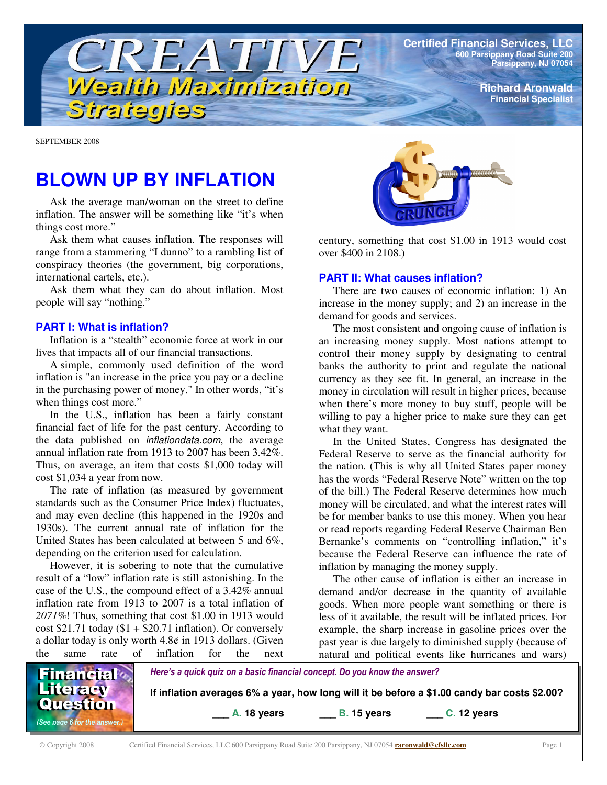**Certified Financial Services, LLC 600 Parsippany Road Suite 200 Parsippany, NJ 07054**

> **Richard Aronwald Financial Specialist**

SEPTEMBER 2008

# **BLOWN UP BY INFLATION**

Strategies

TREATIV

Wealth Maximization

Ask the average man/woman on the street to define inflation. The answer will be something like "it's when things cost more."

Ask them what causes inflation. The responses will range from a stammering "I dunno" to a rambling list of conspiracy theories (the government, big corporations, international cartels, etc.).

Ask them what they can do about inflation. Most people will say "nothing."

#### **PART I: What is inflation?**

Inflation is a "stealth" economic force at work in our lives that impacts all of our financial transactions.

A simple, commonly used definition of the word inflation is "an increase in the price you pay or a decline in the purchasing power of money." In other words, "it's when things cost more."

In the U.S., inflation has been a fairly constant financial fact of life for the past century. According to the data published on *inflationdata.com*, the average annual inflation rate from 1913 to 2007 has been 3.42%. Thus, on average, an item that costs \$1,000 today will cost \$1,034 a year from now.

The rate of inflation (as measured by government standards such as the Consumer Price Index) fluctuates, and may even decline (this happened in the 1920s and 1930s). The current annual rate of inflation for the United States has been calculated at between 5 and 6%, depending on the criterion used for calculation.

However, it is sobering to note that the cumulative result of a "low" inflation rate is still astonishing. In the case of the U.S., the compound effect of a 3.42% annual inflation rate from 1913 to 2007 is a total inflation of *2071%*! Thus, something that cost \$1.00 in 1913 would cost  $$21.71$  today ( $$1 + $20.71$  inflation). Or conversely a dollar today is only worth 4.8¢ in 1913 dollars. (Given the same rate of inflation for the next



century, something that cost \$1.00 in 1913 would cost over \$400 in 2108.)

#### **PART II: What causes inflation?**

There are two causes of economic inflation: 1) An increase in the money supply; and 2) an increase in the demand for goods and services.

The most consistent and ongoing cause of inflation is an increasing money supply. Most nations attempt to control their money supply by designating to central banks the authority to print and regulate the national currency as they see fit. In general, an increase in the money in circulation will result in higher prices, because when there's more money to buy stuff, people will be willing to pay a higher price to make sure they can get what they want.

In the United States, Congress has designated the Federal Reserve to serve as the financial authority for the nation. (This is why all United States paper money has the words "Federal Reserve Note" written on the top of the bill.) The Federal Reserve determines how much money will be circulated, and what the interest rates will be for member banks to use this money. When you hear or read reports regarding Federal Reserve Chairman Ben Bernanke's comments on "controlling inflation," it's because the Federal Reserve can influence the rate of inflation by managing the money supply.

The other cause of inflation is either an increase in demand and/or decrease in the quantity of available goods. When more people want something or there is less of it available, the result will be inflated prices. For example, the sharp increase in gasoline prices over the past year is due largely to diminished supply (because of natural and political events like hurricanes and wars)



© Copyright 2008 Certified Financial Services, LLC 600 Parsippany Road Suite 200 Parsippany, NJ 07054 **raronwald@cfsllc.com** Page 1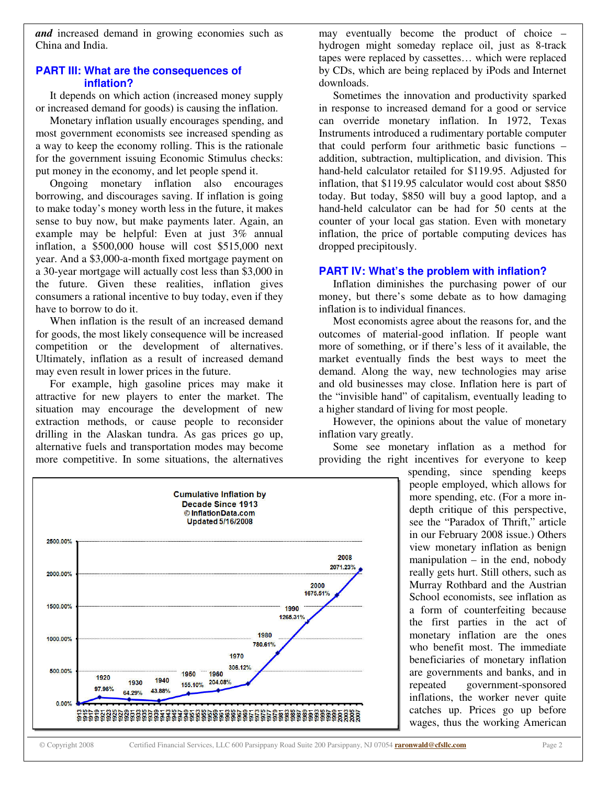*and* increased demand in growing economies such as China and India.

### **PART III: What are the consequences of inflation?**

It depends on which action (increased money supply or increased demand for goods) is causing the inflation.

Monetary inflation usually encourages spending, and most government economists see increased spending as a way to keep the economy rolling. This is the rationale for the government issuing Economic Stimulus checks: put money in the economy, and let people spend it.

Ongoing monetary inflation also encourages borrowing, and discourages saving. If inflation is going to make today's money worth less in the future, it makes sense to buy now, but make payments later. Again, an example may be helpful: Even at just 3% annual inflation, a \$500,000 house will cost \$515,000 next year. And a \$3,000-a-month fixed mortgage payment on a 30-year mortgage will actually cost less than \$3,000 in the future. Given these realities, inflation gives consumers a rational incentive to buy today, even if they have to borrow to do it.

When inflation is the result of an increased demand for goods, the most likely consequence will be increased competition or the development of alternatives. Ultimately, inflation as a result of increased demand may even result in lower prices in the future.

For example, high gasoline prices may make it attractive for new players to enter the market. The situation may encourage the development of new extraction methods, or cause people to reconsider drilling in the Alaskan tundra. As gas prices go up, alternative fuels and transportation modes may become more competitive. In some situations, the alternatives

> **Cumulative Inflation by** Decade Since 1913 © InflationData.com **Updated 5/16/2008**

may eventually become the product of choice – hydrogen might someday replace oil, just as 8-track tapes were replaced by cassettes… which were replaced by CDs, which are being replaced by iPods and Internet downloads.

Sometimes the innovation and productivity sparked in response to increased demand for a good or service can override monetary inflation. In 1972, Texas Instruments introduced a rudimentary portable computer that could perform four arithmetic basic functions – addition, subtraction, multiplication, and division. This hand-held calculator retailed for \$119.95. Adjusted for inflation, that \$119.95 calculator would cost about \$850 today. But today, \$850 will buy a good laptop, and a hand-held calculator can be had for 50 cents at the counter of your local gas station. Even with monetary inflation, the price of portable computing devices has dropped precipitously.

#### **PART IV: What's the problem with inflation?**

Inflation diminishes the purchasing power of our money, but there's some debate as to how damaging inflation is to individual finances.

Most economists agree about the reasons for, and the outcomes of material-good inflation. If people want more of something, or if there's less of it available, the market eventually finds the best ways to meet the demand. Along the way, new technologies may arise and old businesses may close. Inflation here is part of the "invisible hand" of capitalism, eventually leading to a higher standard of living for most people.

However, the opinions about the value of monetary inflation vary greatly.

Some see monetary inflation as a method for providing the right incentives for everyone to keep

> spending, since spending keeps people employed, which allows for more spending, etc. (For a more indepth critique of this perspective, see the "Paradox of Thrift," article in our February 2008 issue.) Others view monetary inflation as benign manipulation  $-$  in the end, nobody really gets hurt. Still others, such as Murray Rothbard and the Austrian School economists, see inflation as a form of counterfeiting because the first parties in the act of monetary inflation are the ones who benefit most. The immediate beneficiaries of monetary inflation are governments and banks, and in repeated government-sponsored inflations, the worker never quite catches up. Prices go up before wages, thus the working American

2500.00%

2000.00%

1500.00%

1000.00%

500.00%

 $0.00%$ 

1920

97.96%

2008 2071.23%

2000 1675 51%

1990 1265.31%

1980

780.61%

1970 306.12%

 $-1960$ 

155.10% 204.08%

1950

1940

43.88%

1930

**64 29%**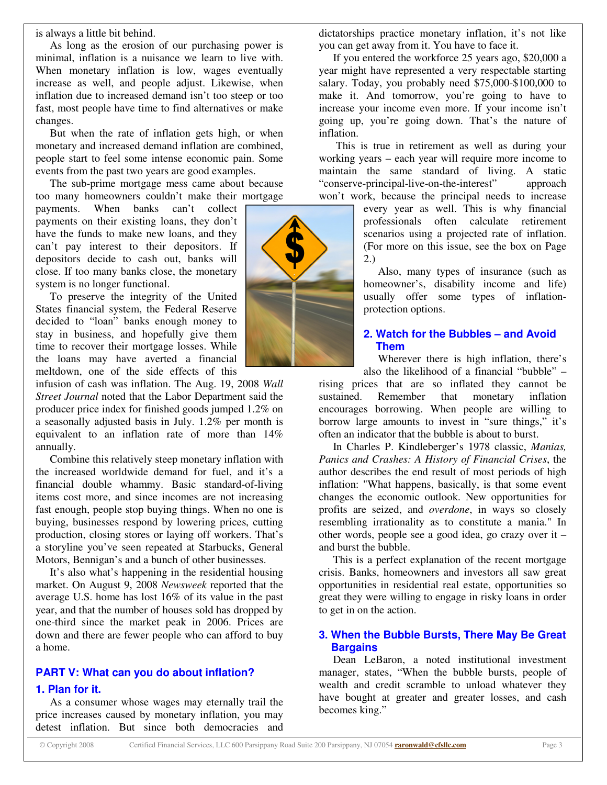is always a little bit behind.

As long as the erosion of our purchasing power is minimal, inflation is a nuisance we learn to live with. When monetary inflation is low, wages eventually increase as well, and people adjust. Likewise, when inflation due to increased demand isn't too steep or too fast, most people have time to find alternatives or make changes.

But when the rate of inflation gets high, or when monetary and increased demand inflation are combined, people start to feel some intense economic pain. Some events from the past two years are good examples.

The sub-prime mortgage mess came about because too many homeowners couldn't make their mortgage

payments. When banks can't collect payments on their existing loans, they don't have the funds to make new loans, and they can't pay interest to their depositors. If depositors decide to cash out, banks will close. If too many banks close, the monetary system is no longer functional.

To preserve the integrity of the United States financial system, the Federal Reserve decided to "loan" banks enough money to stay in business, and hopefully give them time to recover their mortgage losses. While the loans may have averted a financial meltdown, one of the side effects of this

infusion of cash was inflation. The Aug. 19, 2008 *Wall Street Journal* noted that the Labor Department said the producer price index for finished goods jumped 1.2% on a seasonally adjusted basis in July. 1.2% per month is equivalent to an inflation rate of more than 14% annually.

Combine this relatively steep monetary inflation with the increased worldwide demand for fuel, and it's a financial double whammy. Basic standard-of-living items cost more, and since incomes are not increasing fast enough, people stop buying things. When no one is buying, businesses respond by lowering prices, cutting production, closing stores or laying off workers. That's a storyline you've seen repeated at Starbucks, General Motors, Bennigan's and a bunch of other businesses.

It's also what's happening in the residential housing market. On August 9, 2008 *Newsweek* reported that the average U.S. home has lost 16% of its value in the past year, and that the number of houses sold has dropped by one-third since the market peak in 2006. Prices are down and there are fewer people who can afford to buy a home.

# **PART V: What can you do about inflation?**

#### **1. Plan for it.**

As a consumer whose wages may eternally trail the price increases caused by monetary inflation, you may detest inflation. But since both democracies and

dictatorships practice monetary inflation, it's not like you can get away from it. You have to face it.

If you entered the workforce 25 years ago, \$20,000 a year might have represented a very respectable starting salary. Today, you probably need \$75,000-\$100,000 to make it. And tomorrow, you're going to have to increase your income even more. If your income isn't going up, you're going down. That's the nature of inflation.

This is true in retirement as well as during your working years – each year will require more income to maintain the same standard of living. A static "conserve-principal-live-on-the-interest" approach won't work, because the principal needs to increase

> every year as well. This is why financial professionals often calculate retirement scenarios using a projected rate of inflation. (For more on this issue, see the box on Page 2.)

> Also, many types of insurance (such as homeowner's, disability income and life) usually offer some types of inflationprotection options.

# **2. Watch for the Bubbles – and Avoid Them**

Wherever there is high inflation, there's also the likelihood of a financial "bubble" –

rising prices that are so inflated they cannot be sustained. Remember that monetary inflation encourages borrowing. When people are willing to borrow large amounts to invest in "sure things," it's often an indicator that the bubble is about to burst.

In Charles P. Kindleberger's 1978 classic, *Manias, Panics and Crashes: A History of Financial Crises*, the author describes the end result of most periods of high inflation: "What happens, basically, is that some event changes the economic outlook. New opportunities for profits are seized, and *overdone*, in ways so closely resembling irrationality as to constitute a mania." In other words, people see a good idea, go crazy over it – and burst the bubble.

This is a perfect explanation of the recent mortgage crisis. Banks, homeowners and investors all saw great opportunities in residential real estate, opportunities so great they were willing to engage in risky loans in order to get in on the action.

## **3. When the Bubble Bursts, There May Be Great Bargains**

Dean LeBaron, a noted institutional investment manager, states, "When the bubble bursts, people of wealth and credit scramble to unload whatever they have bought at greater and greater losses, and cash becomes king."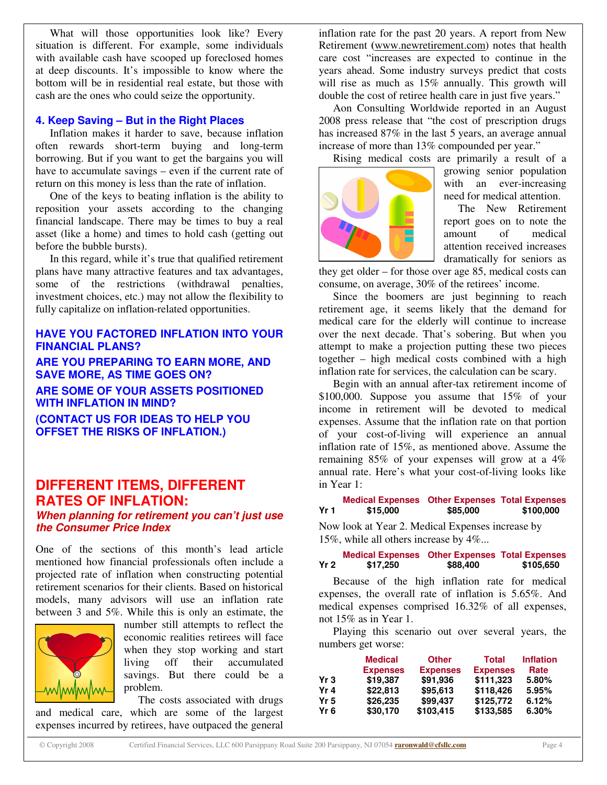What will those opportunities look like? Every situation is different. For example, some individuals with available cash have scooped up foreclosed homes at deep discounts. It's impossible to know where the bottom will be in residential real estate, but those with cash are the ones who could seize the opportunity.

#### **4. Keep Saving – But in the Right Places**

Inflation makes it harder to save, because inflation often rewards short-term buying and long-term borrowing. But if you want to get the bargains you will have to accumulate savings – even if the current rate of return on this money is less than the rate of inflation.

One of the keys to beating inflation is the ability to reposition your assets according to the changing financial landscape. There may be times to buy a real asset (like a home) and times to hold cash (getting out before the bubble bursts).

In this regard, while it's true that qualified retirement plans have many attractive features and tax advantages, some of the restrictions (withdrawal penalties, investment choices, etc.) may not allow the flexibility to fully capitalize on inflation-related opportunities.

# **HAVE YOU FACTORED INFLATION INTO YOUR FINANCIAL PLANS?**

**ARE YOU PREPARING TO EARN MORE, AND SAVE MORE, AS TIME GOES ON? ARE SOME OF YOUR ASSETS POSITIONED WITH INFLATION IN MIND? (CONTACT US FOR IDEAS TO HELP YOU OFFSET THE RISKS OF INFLATION.)**

# **DIFFERENT ITEMS, DIFFERENT RATES OF INFLATION:**

### *When planning for retirement you can't just use the Consumer Price Index*

One of the sections of this month's lead article mentioned how financial professionals often include a projected rate of inflation when constructing potential retirement scenarios for their clients. Based on historical models, many advisors will use an inflation rate between 3 and 5%. While this is only an estimate, the



number still attempts to reflect the economic realities retirees will face when they stop working and start living off their accumulated savings. But there could be a problem.

The costs associated with drugs and medical care, which are some of the largest expenses incurred by retirees, have outpaced the general

inflation rate for the past 20 years. A report from New Retirement **(**www.newretirement.com) notes that health care cost "increases are expected to continue in the years ahead. Some industry surveys predict that costs will rise as much as  $15\%$  annually. This growth will double the cost of retiree health care in just five years."

Aon Consulting Worldwide reported in an August 2008 press release that "the cost of prescription drugs has increased 87% in the last 5 years, an average annual increase of more than 13% compounded per year."



Rising medical costs are primarily a result of a growing senior population with an ever-increasing need for medical attention.

> The New Retirement report goes on to note the amount of medical attention received increases dramatically for seniors as

they get older – for those over age 85, medical costs can consume, on average, 30% of the retirees' income.

Since the boomers are just beginning to reach retirement age, it seems likely that the demand for medical care for the elderly will continue to increase over the next decade. That's sobering. But when you attempt to make a projection putting these two pieces together – high medical costs combined with a high inflation rate for services, the calculation can be scary.

Begin with an annual after-tax retirement income of \$100,000. Suppose you assume that 15% of your income in retirement will be devoted to medical expenses. Assume that the inflation rate on that portion of your cost-of-living will experience an annual inflation rate of 15%, as mentioned above. Assume the remaining 85% of your expenses will grow at a 4% annual rate. Here's what your cost-of-living looks like in Year 1:

#### **Medical Expenses Other Expenses Total Expenses Yr 1 \$15,000 \$85,000 \$100,000**

Now look at Year 2. Medical Expenses increase by 15%, while all others increase by 4%...

**Medical Expenses Other Expenses Total Expenses Yr 2 \$17,250 \$88,400 \$105,650**

Because of the high inflation rate for medical expenses, the overall rate of inflation is 5.65%. And medical expenses comprised 16.32% of all expenses, not 15% as in Year 1.

Playing this scenario out over several years, the numbers get worse:

|      | <b>Medical</b>  | <b>Other</b>    | <b>Total</b>    | <b>Inflation</b> |
|------|-----------------|-----------------|-----------------|------------------|
|      | <b>Expenses</b> | <b>Expenses</b> | <b>Expenses</b> | Rate             |
| Yr 3 | \$19,387        | \$91,936        | \$111.323       | 5.80%            |
| Yr 4 | \$22,813        | \$95,613        | \$118.426       | 5.95%            |
| Yr 5 | \$26,235        | \$99,437        | \$125,772       | 6.12%            |
| Yr 6 | \$30,170        | \$103,415       | \$133,585       | 6.30%            |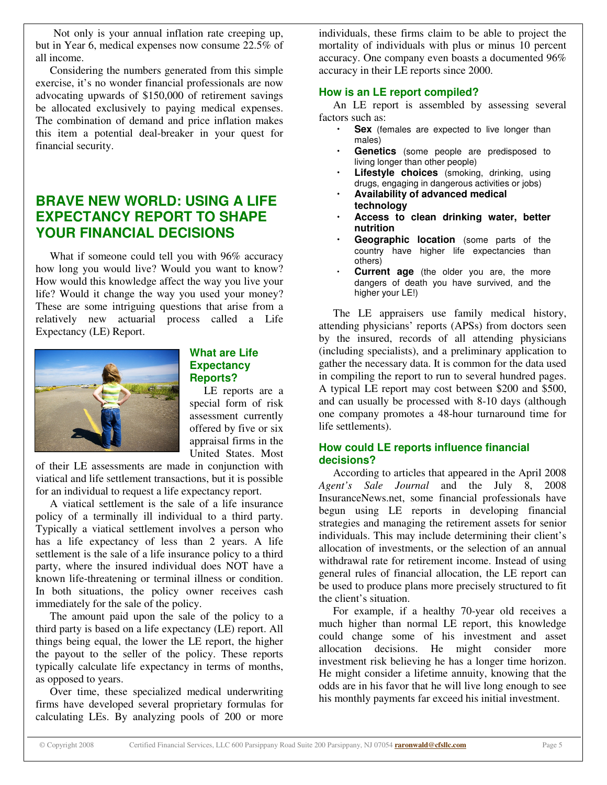Not only is your annual inflation rate creeping up, but in Year 6, medical expenses now consume 22.5% of all income.

Considering the numbers generated from this simple exercise, it's no wonder financial professionals are now advocating upwards of \$150,000 of retirement savings be allocated exclusively to paying medical expenses. The combination of demand and price inflation makes this item a potential deal-breaker in your quest for financial security.

# **BRAVE NEW WORLD: USING A LIFE EXPECTANCY REPORT TO SHAPE YOUR FINANCIAL DECISIONS**

What if someone could tell you with 96% accuracy how long you would live? Would you want to know? How would this knowledge affect the way you live your life? Would it change the way you used your money? These are some intriguing questions that arise from a relatively new actuarial process called a Life Expectancy (LE) Report.



### **What are Life Expectancy Reports?**

LE reports are a special form of risk assessment currently offered by five or six appraisal firms in the United States. Most

of their LE assessments are made in conjunction with viatical and life settlement transactions, but it is possible for an individual to request a life expectancy report.

A viatical settlement is the sale of a life insurance policy of a terminally ill individual to a third party. Typically a viatical settlement involves a person who has a life expectancy of less than 2 years. A life settlement is the sale of a life insurance policy to a third party, where the insured individual does NOT have a known life-threatening or terminal illness or condition. In both situations, the policy owner receives cash immediately for the sale of the policy.

The amount paid upon the sale of the policy to a third party is based on a life expectancy (LE) report. All things being equal, the lower the LE report, the higher the payout to the seller of the policy. These reports typically calculate life expectancy in terms of months, as opposed to years.

Over time, these specialized medical underwriting firms have developed several proprietary formulas for calculating LEs. By analyzing pools of 200 or more individuals, these firms claim to be able to project the mortality of individuals with plus or minus 10 percent accuracy. One company even boasts a documented 96% accuracy in their LE reports since 2000.

# **How is an LE report compiled?**

An LE report is assembled by assessing several factors such as:

- Sex (females are expected to live longer than males)
- **Genetics** (some people are predisposed to living longer than other people)
- **Lifestyle choices** (smoking, drinking, using drugs, engaging in dangerous activities or jobs)
- **Availability of advanced medical technology**
- **Access to clean drinking water, better nutrition**
- **Geographic location** (some parts of the country have higher life expectancies than others)
- **Current age** (the older you are, the more dangers of death you have survived, and the higher your LE!)

The LE appraisers use family medical history, attending physicians' reports (APSs) from doctors seen by the insured, records of all attending physicians (including specialists), and a preliminary application to gather the necessary data. It is common for the data used in compiling the report to run to several hundred pages. A typical LE report may cost between \$200 and \$500, and can usually be processed with 8-10 days (although one company promotes a 48-hour turnaround time for life settlements).

# **How could LE reports influence financial decisions?**

According to articles that appeared in the April 2008 *Agent's Sale Journal* and the July 8, 2008 InsuranceNews.net, some financial professionals have begun using LE reports in developing financial strategies and managing the retirement assets for senior individuals. This may include determining their client's allocation of investments, or the selection of an annual withdrawal rate for retirement income. Instead of using general rules of financial allocation, the LE report can be used to produce plans more precisely structured to fit the client's situation.

For example, if a healthy 70-year old receives a much higher than normal LE report, this knowledge could change some of his investment and asset allocation decisions. He might consider more investment risk believing he has a longer time horizon. He might consider a lifetime annuity, knowing that the odds are in his favor that he will live long enough to see his monthly payments far exceed his initial investment.